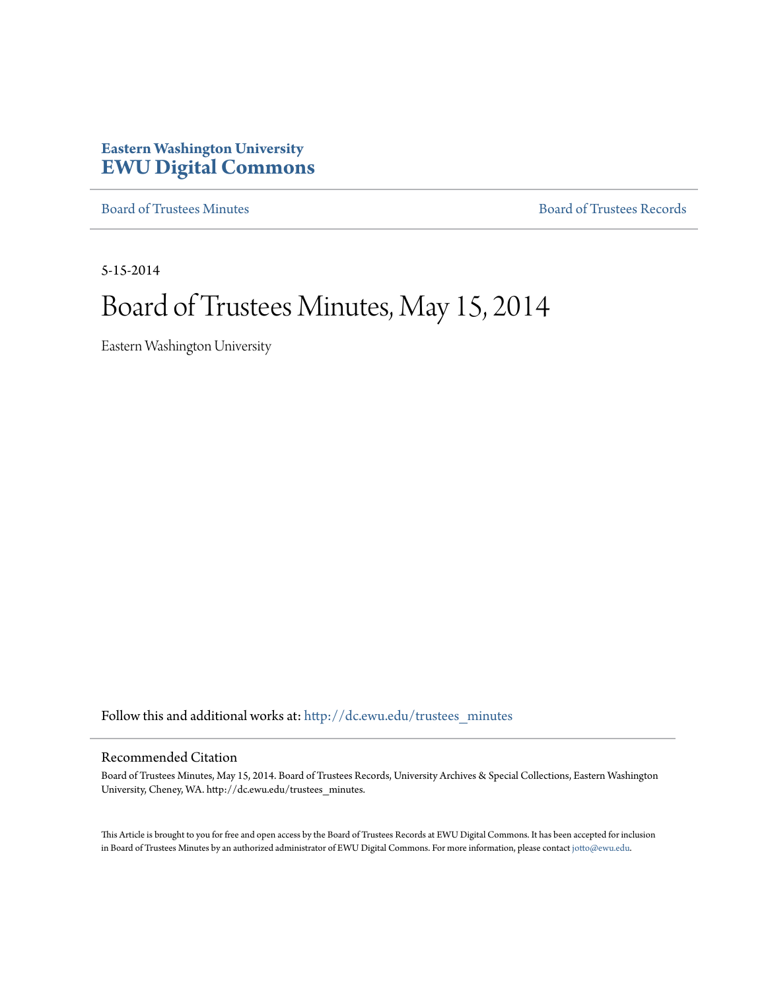## **Eastern Washington University [EWU Digital Commons](http://dc.ewu.edu?utm_source=dc.ewu.edu%2Ftrustees_minutes%2F582&utm_medium=PDF&utm_campaign=PDFCoverPages)**

[Board of Trustees Minutes](http://dc.ewu.edu/trustees_minutes?utm_source=dc.ewu.edu%2Ftrustees_minutes%2F582&utm_medium=PDF&utm_campaign=PDFCoverPages) [Board of Trustees Records](http://dc.ewu.edu/trustees?utm_source=dc.ewu.edu%2Ftrustees_minutes%2F582&utm_medium=PDF&utm_campaign=PDFCoverPages)

5-15-2014

# Board of Trustees Minutes, May 15, 2014

Eastern Washington University

Follow this and additional works at: [http://dc.ewu.edu/trustees\\_minutes](http://dc.ewu.edu/trustees_minutes?utm_source=dc.ewu.edu%2Ftrustees_minutes%2F582&utm_medium=PDF&utm_campaign=PDFCoverPages)

#### Recommended Citation

Board of Trustees Minutes, May 15, 2014. Board of Trustees Records, University Archives & Special Collections, Eastern Washington University, Cheney, WA. http://dc.ewu.edu/trustees\_minutes.

This Article is brought to you for free and open access by the Board of Trustees Records at EWU Digital Commons. It has been accepted for inclusion in Board of Trustees Minutes by an authorized administrator of EWU Digital Commons. For more information, please contact [jotto@ewu.edu.](mailto:jotto@ewu.edu)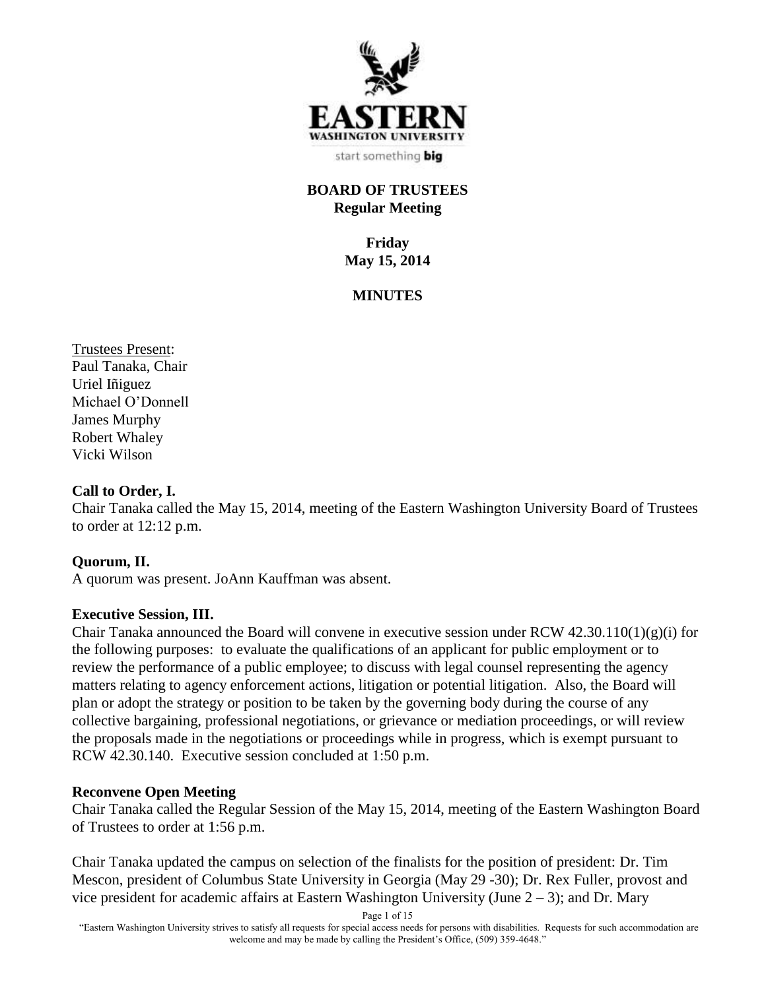

start something big

## **BOARD OF TRUSTEES Regular Meeting**

**Friday May 15, 2014**

#### **MINUTES**

Trustees Present: Paul Tanaka, Chair Uriel Iñiguez Michael O'Donnell James Murphy Robert Whaley Vicki Wilson

#### **Call to Order, I.**

Chair Tanaka called the May 15, 2014, meeting of the Eastern Washington University Board of Trustees to order at 12:12 p.m.

#### **Quorum, II.**

A quorum was present. JoAnn Kauffman was absent.

#### **Executive Session, III.**

Chair Tanaka announced the Board will convene in executive session under RCW 42.30.110(1)(g)(i) for the following purposes: to evaluate the qualifications of an applicant for public employment or to review the performance of a public employee; to discuss with legal counsel representing the agency matters relating to agency enforcement actions, litigation or potential litigation. Also, the Board will plan or adopt the strategy or position to be taken by the governing body during the course of any collective bargaining, professional negotiations, or grievance or mediation proceedings, or will review the proposals made in the negotiations or proceedings while in progress, which is exempt pursuant to RCW 42.30.140. Executive session concluded at 1:50 p.m.

#### **Reconvene Open Meeting**

Chair Tanaka called the Regular Session of the May 15, 2014, meeting of the Eastern Washington Board of Trustees to order at 1:56 p.m.

Chair Tanaka updated the campus on selection of the finalists for the position of president: Dr. Tim Mescon, president of Columbus State University in Georgia (May 29 -30); Dr. Rex Fuller, provost and vice president for academic affairs at Eastern Washington University (June  $2 - 3$ ); and Dr. Mary

Page 1 of 15

"Eastern Washington University strives to satisfy all requests for special access needs for persons with disabilities. Requests for such accommodation are welcome and may be made by calling the President's Office, (509) 359-4648."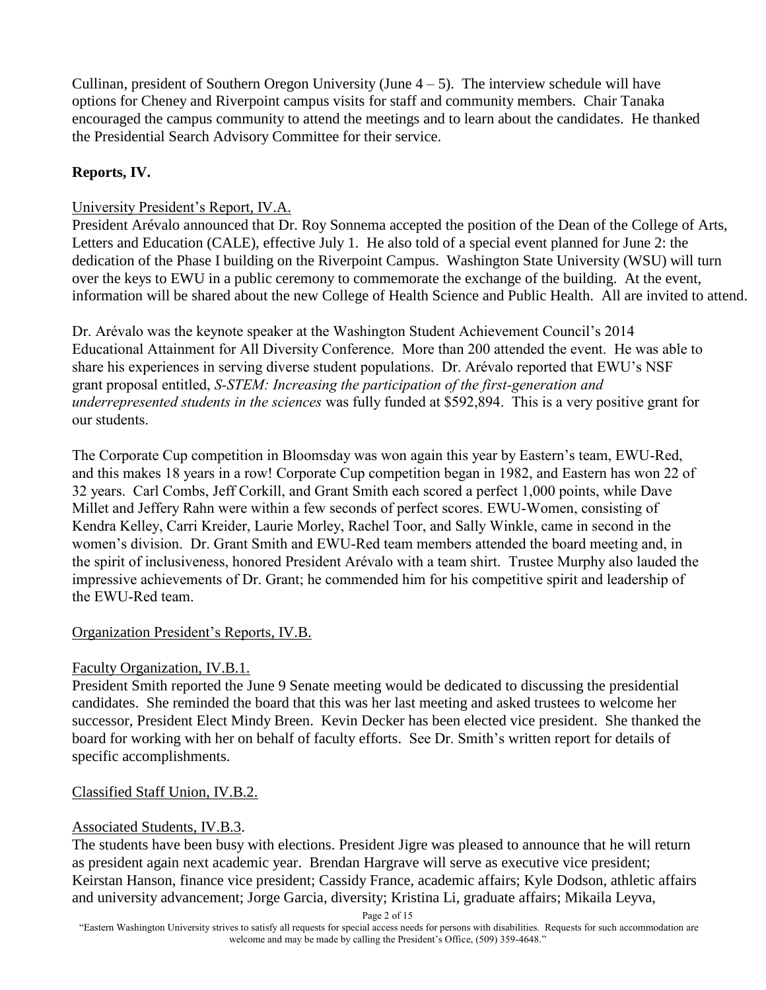Cullinan, president of Southern Oregon University (June  $4-5$ ). The interview schedule will have options for Cheney and Riverpoint campus visits for staff and community members. Chair Tanaka encouraged the campus community to attend the meetings and to learn about the candidates. He thanked the Presidential Search Advisory Committee for their service.

## **Reports, IV.**

## University President's Report, IV.A.

President Arévalo announced that Dr. Roy Sonnema accepted the position of the Dean of the College of Arts, Letters and Education (CALE), effective July 1. He also told of a special event planned for June 2: the dedication of the Phase I building on the Riverpoint Campus. Washington State University (WSU) will turn over the keys to EWU in a public ceremony to commemorate the exchange of the building. At the event, information will be shared about the new College of Health Science and Public Health. All are invited to attend.

Dr. Arévalo was the keynote speaker at the Washington Student Achievement Council's 2014 Educational Attainment for All Diversity Conference. More than 200 attended the event. He was able to share his experiences in serving diverse student populations. Dr. Arévalo reported that EWU's NSF grant proposal entitled, *S-STEM: Increasing the participation of the first-generation and underrepresented students in the sciences* was fully funded at \$592,894. This is a very positive grant for our students.

The Corporate Cup competition in Bloomsday was won again this year by Eastern's team, EWU-Red, and this makes 18 years in a row! Corporate Cup competition began in 1982, and Eastern has won 22 of 32 years. Carl Combs, Jeff Corkill, and Grant Smith each scored a perfect 1,000 points, while Dave Millet and Jeffery Rahn were within a few seconds of perfect scores. EWU-Women, consisting of Kendra Kelley, Carri Kreider, Laurie Morley, Rachel Toor, and Sally Winkle, came in second in the women's division. Dr. Grant Smith and EWU-Red team members attended the board meeting and, in the spirit of inclusiveness, honored President Arévalo with a team shirt. Trustee Murphy also lauded the impressive achievements of Dr. Grant; he commended him for his competitive spirit and leadership of the EWU-Red team.

## Organization President's Reports, IV.B.

## Faculty Organization, IV.B.1.

President Smith reported the June 9 Senate meeting would be dedicated to discussing the presidential candidates. She reminded the board that this was her last meeting and asked trustees to welcome her successor, President Elect Mindy Breen. Kevin Decker has been elected vice president. She thanked the board for working with her on behalf of faculty efforts. See Dr. Smith's written report for details of specific accomplishments.

## Classified Staff Union, IV.B.2.

## Associated Students, IV.B.3.

The students have been busy with elections. President Jigre was pleased to announce that he will return as president again next academic year. Brendan Hargrave will serve as executive vice president; Keirstan Hanson, finance vice president; Cassidy France, academic affairs; Kyle Dodson, athletic affairs and university advancement; Jorge Garcia, diversity; Kristina Li, graduate affairs; Mikaila Leyva,

Page 2 of 15